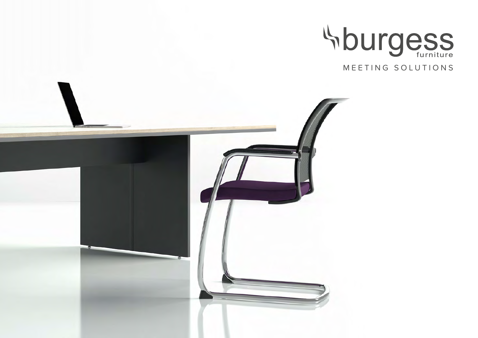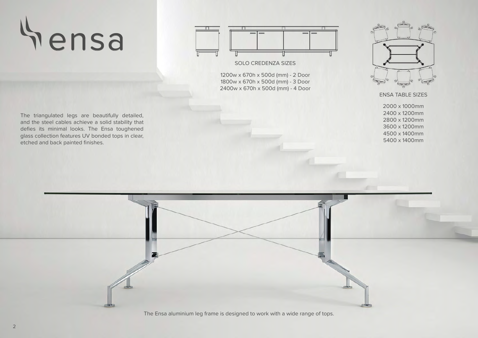# ensa



### SOLO CREDENZA SIZES

1200w x 670h x 500d (mm) - 2 Door 1800w x 670h x 500d (mm) - 3 Door 2400w x 670h x 500d (mm) - 4 Door



ENSA TABLE SIZES

2000 x 1000mm 2400 x 1200mm 2800 x 1200mm 3600 x 1200mm 4500 x 1400mm 5400 x 1400mm

The triangulated legs are beautifully detailed, and the steel cables achieve a solid stability that defies its minimal looks. The Ensa toughened glass collection features UV bonded tops in clear, etched and back painted finishes.

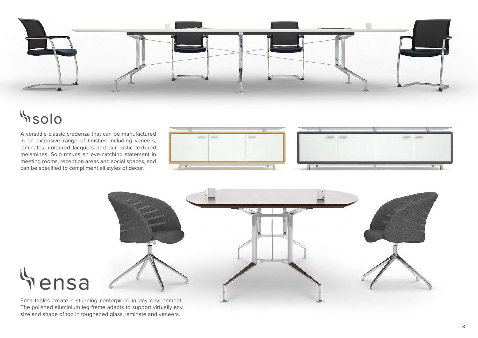

### **Solo**

A versatile classic credenza that can be manufactured in an extensive range of finishes including veneers, laminates, coloured lacquers and our rustic textured melamines, Solo makes an eye-catching statement in meeting rooms, reception areas and social spaces, and can be specified to compliment all styles of decor.







Ensa tables create a stunning centerpiece in any environment. The polished aluminium leg frame adapts to support virtually any size and shape of top in toughened glass, laminate and veneers.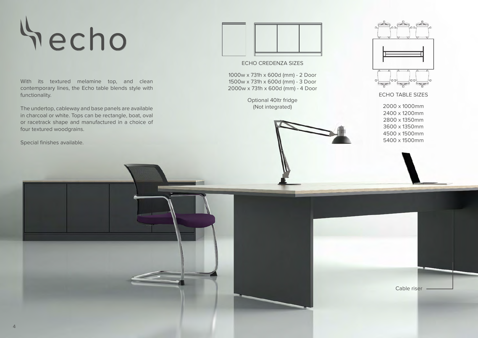# hecho

With its textured melamine top, and clean contemporary lines, the Echo table blends style with functionality.

The undertop, cableway and base panels are available in charcoal or white. Tops can be rectangle, boat, oval or racetrack shape and manufactured in a choice of four textured woodgrains.

Special finishes available.

 $\Delta$ 



#### ECHO CREDENZA SIZES

1000w x 731h x 600d (mm) - 2 Door 1500w x 731h x 600d (mm) - 3 Door 2000w x 731h x 600d (mm) - 4 Door

> Optional 40ltr fridge (Not integrated)



سبد  $\sim$  $\overline{\mathcal{M}}$ 

ECHO TABLE SIZES

2000 x 1000mm 2400 x 1200mm 2800 x 1350mm 3600 x 1350mm 4500 x 1500mm 5400 x 1500mm

Cable riser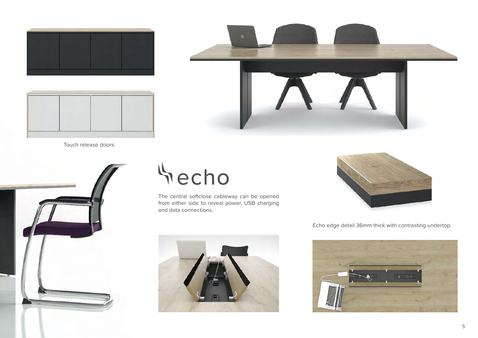



Touch release doors.



### hecho

The central softclose cableway can be opened from either side to reveal power, USB charging and data connections.



Echo edge detail 36mm thick with contrasting undertop.

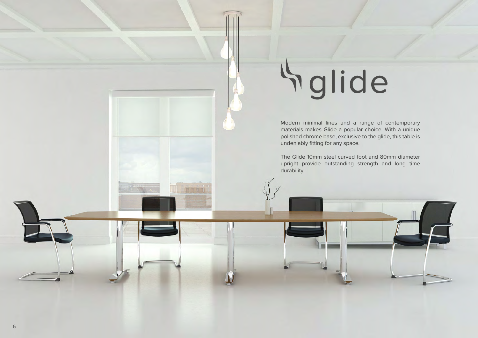## glide

Modern minimal lines and a range of contemporary materials makes Glide a popular choice. With a unique polished chrome base, exclusive to the glide, this table is undeniably fitting for any space.

The Glide 10mm steel curved foot and 80mm diameter upright provide outstanding strength and long time durability.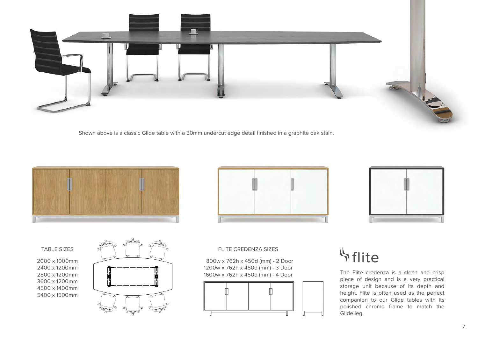

Shown above is a classic Glide table with a 30mm undercut edge detail finished in a graphite oak stain.







TABLE SIZES

2000 x 1000mm 2400 x 1200mm 2800 x 1200mm 3600 x 1200mm 4500 x 1400mm 5400 x 1500mm



#### FLITE CREDENZA SIZES

 800w x 762h x 450d (mm) - 2 Door 1200w x 762h x 450d (mm) - 3 Door 1600w x 762h x 450d (mm) - 4 Door



### **Shite**

The Flite credenza is a clean and crisp piece of design and is a very practical storage unit because of its depth and height. Flite is often used as the perfect companion to our Glide tables with its polished chrome frame to match the Glide leg.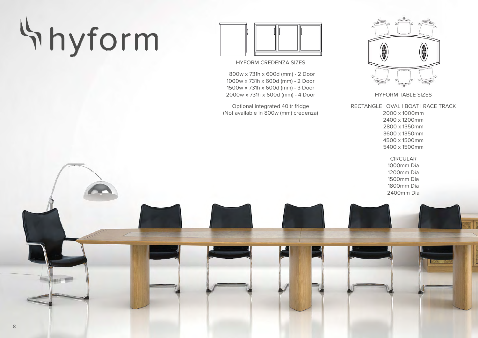# hyform



#### HYFORM CREDENZA SIZES

 800w x 731h x 600d (mm) - 2 Door 1000w x 731h x 600d (mm) - 2 Door 1500w x 731h x 600d (mm) - 3 Door 2000w x 731h x 600d (mm) - 4 Door

Optional integrated 40ltr fridge (Not available in 800w (mm) credenza)



HYFORM TABLE SIZES

RECTANGLE | OVAL | BOAT | RACE TRACK

2000 x 1000mm 2400 x 1200mm 2800 x 1350mm 3600 x 1350mm 4500 x 1500mm 5400 x 1500mm

CIRCULAR 1000mm Dia 1200mm Dia 1500mm Dia 1800mm Dia 2400mm Dia

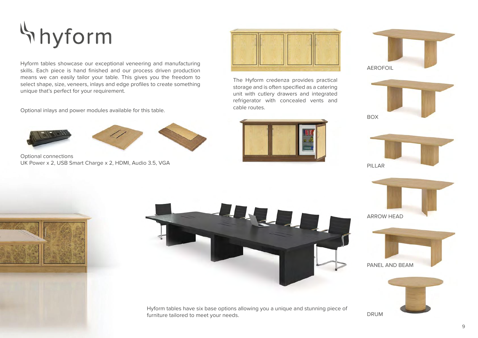## hyform

Hyform tables showcase our exceptional veneering and manufacturing skills. Each piece is hand finished and our process driven production means we can easily tailor your table. This gives you the freedom to select shape, size, veneers, inlays and edge profiles to create something unique that's perfect for your requirement.

cable routes. Optional inlays and power modules available for this table.





Optional connections UK Power x 2, USB Smart Charge x 2, HDMI, Audio 3.5, VGA



The Hyform credenza provides practical storage and is often specified as a catering unit with cutlery drawers and integrated refrigerator with concealed vents and







PILL AR

BOX









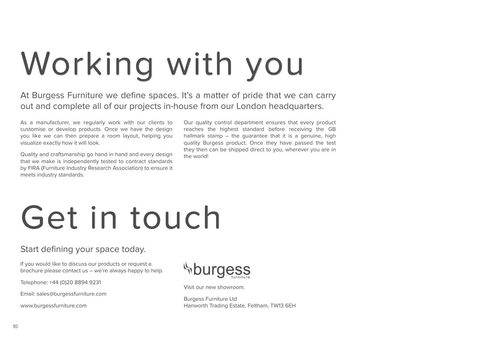## Working with you

At Burgess Furniture we define spaces. It's a matter of pride that we can carry out and complete all of our projects in-house from our London headquarters.

As a manufacturer, we regularly work with our clients to customise or develop products. Once we have the design you like we can then prepare a room layout, helping you visualize exactly how it will look.

Quality and craftsmanship go hand in hand and every design that we make is independently tested to contract standards by FIRA (Furniture Industry Research Association) to ensure it meets industry standards.

Our quality control department ensures that every product reaches the highest standard before receiving the GB hallmark stamp – the guarantee that it is a genuine, high quality Burgess product. Once they have passed the test they then can be shipped direct to you, wherever you are in the world!

## Get in touch

### Start defining your space today.

If you would like to discuss our products or request a brochure please contact us – we're always happy to help.

Telephone: +44 (0)20 8894 9231

Email: sales@burgessfurniture.com

www.burgessfurniture.com



Visit our new showroom.

Burgess Furniture Ltd Hanworth Trading Estate, Feltham, TW13 6EH